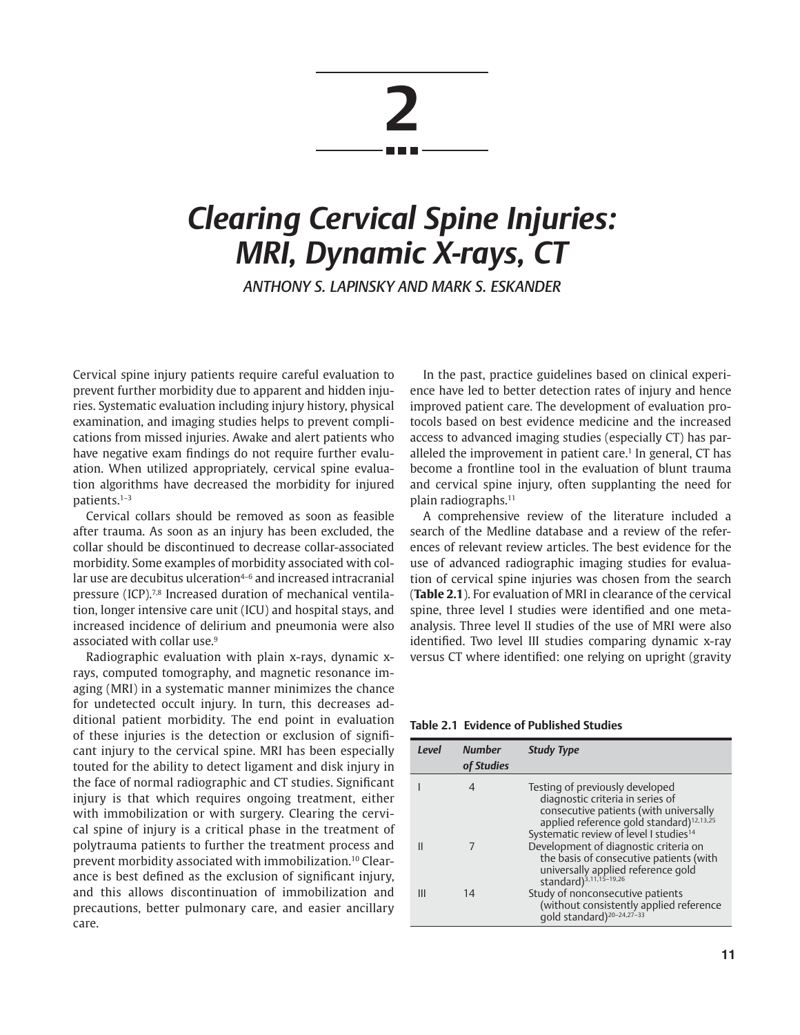# **2**

# *Clearing Cervical Spine Injuries: MRI, Dynamic X-rays, CT*

*ANTHONY S. LAPINSKY AND MARK S. ESKANDER*

Cervical spine injury patients require careful evaluation to prevent further morbidity due to apparent and hidden injuries. Systematic evaluation including injury history, physical examination, and imaging studies helps to prevent complications from missed injuries. Awake and alert patients who have negative exam findings do not require further evaluation. When utilized appropriately, cervical spine evaluation algorithms have decreased the morbidity for injured patients.1–3

Cervical collars should be removed as soon as feasible after trauma. As soon as an injury has been excluded, the collar should be discontinued to decrease collar-associated morbidity. Some examples of morbidity associated with collar use are decubitus ulceration<sup>4-6</sup> and increased intracranial pressure (ICP).7,8 Increased duration of mechanical ventilation, longer intensive care unit (ICU) and hospital stays, and increased incidence of delirium and pneumonia were also associated with collar use.9

Radiographic evaluation with plain x-rays, dynamic xrays, computed tomography, and magnetic resonance imaging (MRI) in a systematic manner minimizes the chance for undetected occult injury. In turn, this decreases additional patient morbidity. The end point in evaluation of these injuries is the detection or exclusion of significant injury to the cervical spine. MRI has been especially touted for the ability to detect ligament and disk injury in the face of normal radiographic and CT studies. Significant injury is that which requires ongoing treatment, either with immobilization or with surgery. Clearing the cervical spine of injury is a critical phase in the treatment of polytrauma patients to further the treatment process and prevent morbidity associated with immobilization.10 Clearance is best defined as the exclusion of significant injury, and this allows discontinuation of immobilization and precautions, better pulmonary care, and easier ancillary care.

In the past, practice guidelines based on clinical experience have led to better detection rates of injury and hence improved patient care. The development of evaluation protocols based on best evidence medicine and the increased access to advanced imaging studies (especially CT) has paralleled the improvement in patient care.<sup>1</sup> In general, CT has become a frontline tool in the evaluation of blunt trauma and cervical spine injury, often supplanting the need for plain radiographs.11

A comprehensive review of the literature included a search of the Medline database and a review of the references of relevant review articles. The best evidence for the use of advanced radiographic imaging studies for evaluation of cervical spine injuries was chosen from the search (**Table 2.1**). For evaluation of MRI in clearance of the cervical spine, three level I studies were identified and one metaanalysis. Three level II studies of the use of MRI were also identified. Two level III studies comparing dynamic x-ray versus CT where identified: one relying on upright (gravity

**Table 2.1 Evidence of Published Studies**

| Level | <b>Number</b><br>of Studies | <b>Study Type</b>                                                                                                                                                                                                           |
|-------|-----------------------------|-----------------------------------------------------------------------------------------------------------------------------------------------------------------------------------------------------------------------------|
|       |                             | Testing of previously developed<br>diagnostic criteria in series of<br>consecutive patients (with universally<br>applied reference gold standard) <sup>12,13,25</sup><br>Systematic review of level I studies <sup>14</sup> |
|       |                             | Development of diagnostic criteria on<br>the basis of consecutive patients (with<br>universally applied reference gold<br>standard) <sup>3,11,15-19,26</sup>                                                                |
|       | 14                          | Study of nonconsecutive patients<br>(without consistently applied reference<br>gold standard) <sup>20-24,27-33</sup>                                                                                                        |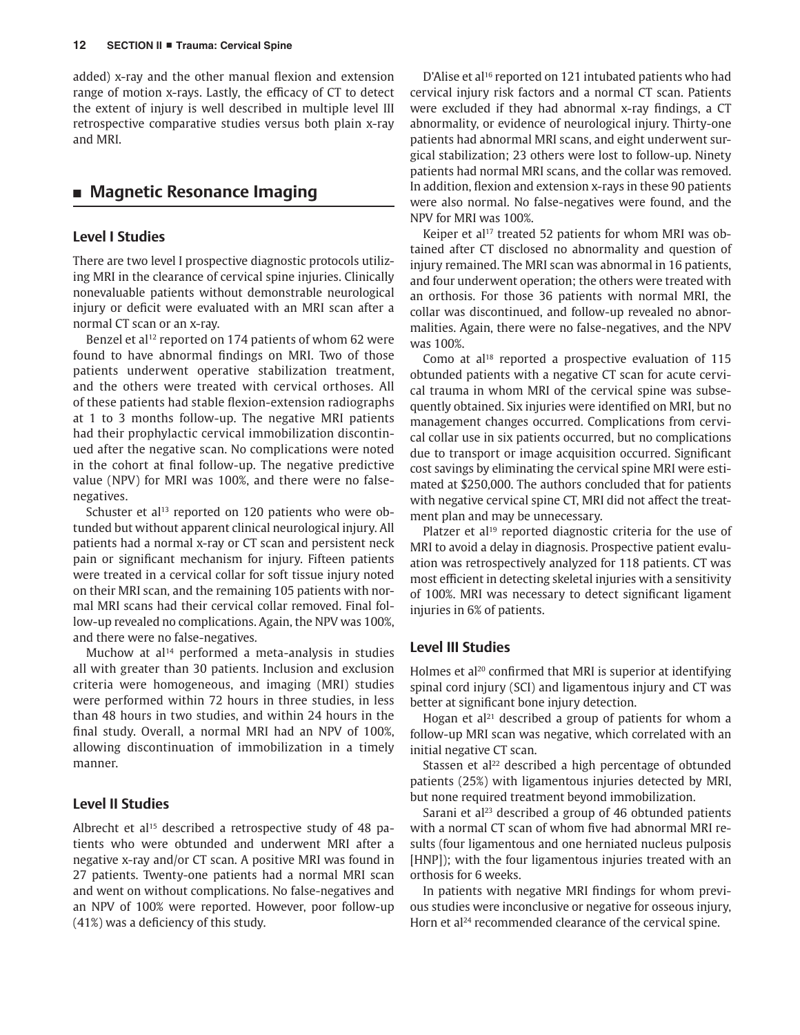added) x-ray and the other manual flexion and extension range of motion x-rays. Lastly, the efficacy of CT to detect the extent of injury is well described in multiple level III retrospective comparative studies versus both plain x-ray and MRI.

# **Magnetic Resonance Imaging** ■

# **Level I Studies**

There are two level I prospective diagnostic protocols utilizing MRI in the clearance of cervical spine injuries. Clinically nonevaluable patients without demonstrable neurological injury or deficit were evaluated with an MRI scan after a normal CT scan or an x-ray.

Benzel et al<sup>12</sup> reported on 174 patients of whom 62 were found to have abnormal findings on MRI. Two of those patients underwent operative stabilization treatment, and the others were treated with cervical orthoses. All of these patients had stable flexion-extension radiographs at 1 to 3 months follow-up. The negative MRI patients had their prophylactic cervical immobilization discontinued after the negative scan. No complications were noted in the cohort at final follow-up. The negative predictive value (NPV) for MRI was 100%, and there were no falsenegatives.

Schuster et al<sup>13</sup> reported on 120 patients who were obtunded but without apparent clinical neurological injury. All patients had a normal x-ray or CT scan and persistent neck pain or significant mechanism for injury. Fifteen patients were treated in a cervical collar for soft tissue injury noted on their MRI scan, and the remaining 105 patients with normal MRI scans had their cervical collar removed. Final follow-up revealed no complications. Again, the NPV was 100%, and there were no false-negatives.

Muchow at al<sup>14</sup> performed a meta-analysis in studies all with greater than 30 patients. Inclusion and exclusion criteria were homogeneous, and imaging (MRI) studies were performed within 72 hours in three studies, in less than 48 hours in two studies, and within 24 hours in the final study. Overall, a normal MRI had an NPV of 100%, allowing discontinuation of immobilization in a timely manner.

# **Level II Studies**

Albrecht et al<sup>15</sup> described a retrospective study of 48 patients who were obtunded and underwent MRI after a negative x-ray and/or CT scan. A positive MRI was found in 27 patients. Twenty-one patients had a normal MRI scan and went on without complications. No false-negatives and an NPV of 100% were reported. However, poor follow-up (41%) was a deficiency of this study.

D'Alise et al<sup>16</sup> reported on 121 intubated patients who had cervical injury risk factors and a normal CT scan. Patients were excluded if they had abnormal x-ray findings, a CT abnormality, or evidence of neurological injury. Thirty-one patients had abnormal MRI scans, and eight underwent surgical stabilization; 23 others were lost to follow-up. Ninety patients had normal MRI scans, and the collar was removed. In addition, flexion and extension x-rays in these 90 patients were also normal. No false-negatives were found, and the NPV for MRI was 100%.

Keiper et al<sup>17</sup> treated 52 patients for whom MRI was obtained after CT disclosed no abnormality and question of injury remained. The MRI scan was abnormal in 16 patients, and four underwent operation; the others were treated with an orthosis. For those 36 patients with normal MRI, the collar was discontinued, and follow-up revealed no abnormalities. Again, there were no false-negatives, and the NPV was 100%.

Como at al<sup>18</sup> reported a prospective evaluation of 115 obtunded patients with a negative CT scan for acute cervical trauma in whom MRI of the cervical spine was subsequently obtained. Six injuries were identified on MRI, but no management changes occurred. Complications from cervical collar use in six patients occurred, but no complications due to transport or image acquisition occurred. Significant cost savings by eliminating the cervical spine MRI were estimated at \$250,000. The authors concluded that for patients with negative cervical spine CT, MRI did not affect the treatment plan and may be unnecessary.

Platzer et al<sup>19</sup> reported diagnostic criteria for the use of MRI to avoid a delay in diagnosis. Prospective patient evaluation was retrospectively analyzed for 118 patients. CT was most efficient in detecting skeletal injuries with a sensitivity of 100%. MRI was necessary to detect significant ligament injuries in 6% of patients.

# **Level III Studies**

Holmes et al<sup>20</sup> confirmed that MRI is superior at identifying spinal cord injury (SCI) and ligamentous injury and CT was better at significant bone injury detection.

Hogan et al<sup>21</sup> described a group of patients for whom a follow-up MRI scan was negative, which correlated with an initial negative CT scan.

Stassen et al<sup>22</sup> described a high percentage of obtunded patients (25%) with ligamentous injuries detected by MRI, but none required treatment beyond immobilization.

Sarani et al $23$  described a group of 46 obtunded patients with a normal CT scan of whom five had abnormal MRI results (four ligamentous and one herniated nucleus pulposis [HNP]); with the four ligamentous injuries treated with an orthosis for 6 weeks.

In patients with negative MRI findings for whom previous studies were inconclusive or negative for osseous injury, Horn et al<sup>24</sup> recommended clearance of the cervical spine.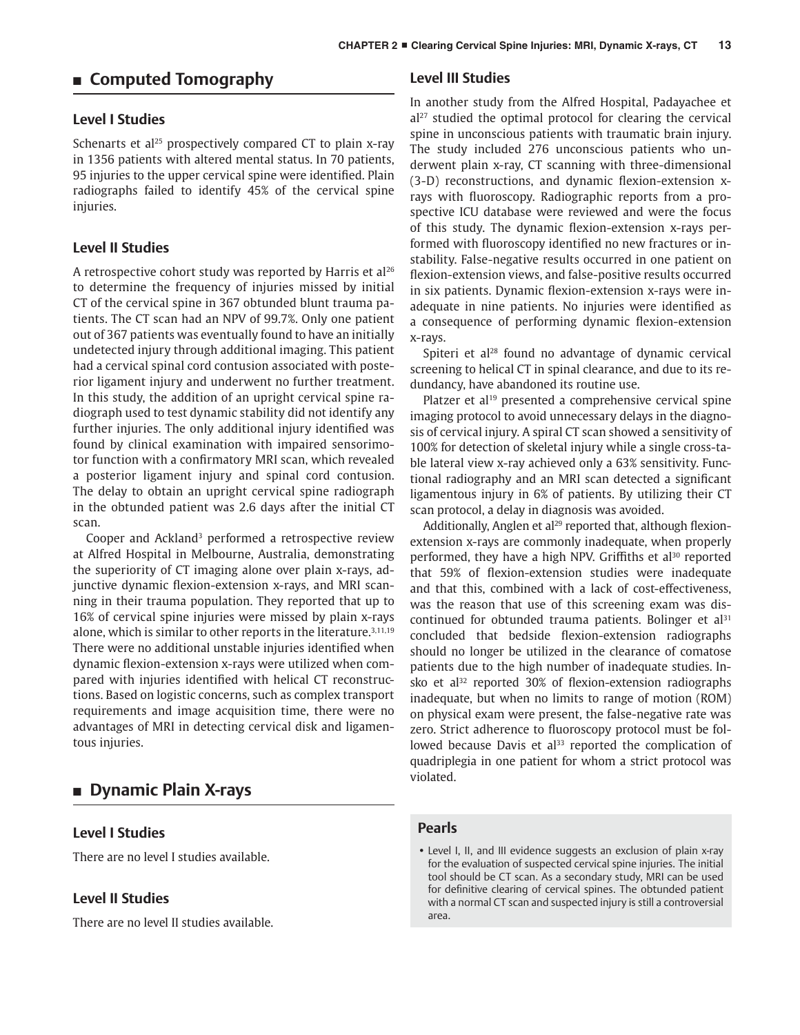# **Computed Tomography** ■

# **Level I Studies**

Schenarts et al<sup>25</sup> prospectively compared CT to plain x-ray in 1356 patients with altered mental status. In 70 patients, 95 injuries to the upper cervical spine were identified. Plain radiographs failed to identify 45% of the cervical spine injuries.

# **Level II Studies**

A retrospective cohort study was reported by Harris et al<sup>26</sup> to determine the frequency of injuries missed by initial CT of the cervical spine in 367 obtunded blunt trauma patients. The CT scan had an NPV of 99.7%. Only one patient out of 367 patients was eventually found to have an initially undetected injury through additional imaging. This patient had a cervical spinal cord contusion associated with posterior ligament injury and underwent no further treatment. In this study, the addition of an upright cervical spine radiograph used to test dynamic stability did not identify any further injuries. The only additional injury identified was found by clinical examination with impaired sensorimotor function with a confirmatory MRI scan, which revealed a posterior ligament injury and spinal cord contusion. The delay to obtain an upright cervical spine radiograph in the obtunded patient was 2.6 days after the initial CT scan.

Cooper and Ackland<sup>3</sup> performed a retrospective review at Alfred Hospital in Melbourne, Australia, demonstrating the superiority of CT imaging alone over plain x-rays, adjunctive dynamic flexion-extension x-rays, and MRI scanning in their trauma population. They reported that up to 16% of cervical spine injuries were missed by plain x-rays alone, which is similar to other reports in the literature.<sup>3,11,19</sup> There were no additional unstable injuries identified when dynamic flexion-extension x-rays were utilized when compared with injuries identified with helical CT reconstructions. Based on logistic concerns, such as complex transport requirements and image acquisition time, there were no advantages of MRI in detecting cervical disk and ligamentous injuries.

# **Dynamic Plain X-rays** ■

# **Level I Studies**

There are no level I studies available.

# **Level II Studies**

There are no level II studies available.

# **Level III Studies**

In another study from the Alfred Hospital, Padayachee et  $al<sup>27</sup>$  studied the optimal protocol for clearing the cervical spine in unconscious patients with traumatic brain injury. The study included 276 unconscious patients who underwent plain x-ray, CT scanning with three-dimensional (3-D) reconstructions, and dynamic flexion-extension xrays with fluoroscopy. Radiographic reports from a prospective ICU database were reviewed and were the focus of this study. The dynamic flexion-extension x-rays performed with fluoroscopy identified no new fractures or instability. False-negative results occurred in one patient on flexion-extension views, and false-positive results occurred in six patients. Dynamic flexion-extension x-rays were inadequate in nine patients. No injuries were identified as a consequence of performing dynamic flexion-extension x-rays.

Spiteri et al<sup>28</sup> found no advantage of dynamic cervical screening to helical CT in spinal clearance, and due to its redundancy, have abandoned its routine use.

Platzer et al<sup>19</sup> presented a comprehensive cervical spine imaging protocol to avoid unnecessary delays in the diagnosis of cervical injury. A spiral CT scan showed a sensitivity of 100% for detection of skeletal injury while a single cross-table lateral view x-ray achieved only a 63% sensitivity. Functional radiography and an MRI scan detected a significant ligamentous injury in 6% of patients. By utilizing their CT scan protocol, a delay in diagnosis was avoided.

Additionally, Anglen et al<sup>29</sup> reported that, although flexionextension x-rays are commonly inadequate, when properly performed, they have a high NPV. Griffiths et al<sup>30</sup> reported that 59% of flexion-extension studies were inadequate and that this, combined with a lack of cost-effectiveness, was the reason that use of this screening exam was discontinued for obtunded trauma patients. Bolinger et al $31$ concluded that bedside flexion-extension radiographs should no longer be utilized in the clearance of comatose patients due to the high number of inadequate studies. Insko et al<sup>32</sup> reported 30% of flexion-extension radiographs inadequate, but when no limits to range of motion (ROM) on physical exam were present, the false-negative rate was zero. Strict adherence to fluoroscopy protocol must be followed because Davis et al $33$  reported the complication of quadriplegia in one patient for whom a strict protocol was violated.

#### **Pearls**

<sup>•</sup> Level I, II, and III evidence suggests an exclusion of plain x-ray for the evaluation of suspected cervical spine injuries. The initial tool should be CT scan. As a secondary study, MRI can be used for definitive clearing of cervical spines. The obtunded patient with a normal CT scan and suspected injury is still a controversial area.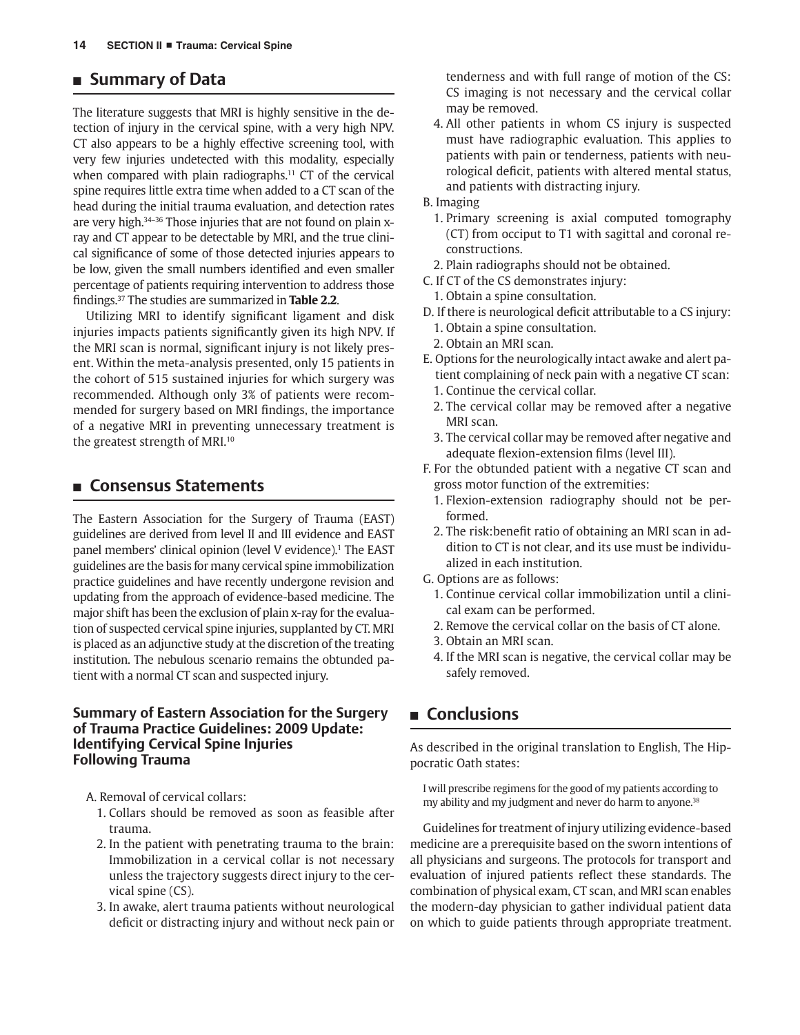# ■ Summary of Data

The literature suggests that MRI is highly sensitive in the detection of injury in the cervical spine, with a very high NPV. CT also appears to be a highly effective screening tool, with very few injuries undetected with this modality, especially when compared with plain radiographs.<sup>11</sup> CT of the cervical spine requires little extra time when added to a CT scan of the head during the initial trauma evaluation, and detection rates are very high.34–36 Those injuries that are not found on plain xray and CT appear to be detectable by MRI, and the true clinical significance of some of those detected injuries appears to be low, given the small numbers identified and even smaller percentage of patients requiring intervention to address those findings.37 The studies are summarized in **Table 2.2**.

Utilizing MRI to identify significant ligament and disk injuries impacts patients significantly given its high NPV. If the MRI scan is normal, significant injury is not likely present. Within the meta-analysis presented, only 15 patients in the cohort of 515 sustained injuries for which surgery was recommended. Although only 3% of patients were recommended for surgery based on MRI findings, the importance of a negative MRI in preventing unnecessary treatment is the greatest strength of MRI.10

# **Consensus Statements** ■

The Eastern Association for the Surgery of Trauma (EAST) guidelines are derived from level II and III evidence and EAST panel members' clinical opinion (level V evidence).<sup>1</sup> The EAST guidelines are the basis for many cervical spine immobilization practice guidelines and have recently undergone revision and updating from the approach of evidence-based medicine. The major shift has been the exclusion of plain x-ray for the evaluation of suspected cervical spine injuries, supplanted by CT. MRI is placed as an adjunctive study at the discretion of the treating institution. The nebulous scenario remains the obtunded patient with a normal CT scan and suspected injury.

# **Summary of Eastern Association for the Surgery of Trauma Practice Guidelines: 2009 Update: Identifying Cervical Spine Injuries Following Trauma**

- A. Removal of cervical collars:
	- 1. Collars should be removed as soon as feasible after trauma.
	- 2. In the patient with penetrating trauma to the brain: Immobilization in a cervical collar is not necessary unless the trajectory suggests direct injury to the cervical spine (CS).
	- 3. In awake, alert trauma patients without neurological deficit or distracting injury and without neck pain or

tenderness and with full range of motion of the CS: CS imaging is not necessary and the cervical collar may be removed.

- 4. All other patients in whom CS injury is suspected must have radiographic evaluation. This applies to patients with pain or tenderness, patients with neurological deficit, patients with altered mental status, and patients with distracting injury.
- B. Imaging
	- 1. Primary screening is axial computed tomography (CT) from occiput to T1 with sagittal and coronal reconstructions.
- 2. Plain radiographs should not be obtained.
- C. If CT of the CS demonstrates injury:
- 1. Obtain a spine consultation.
- D. If there is neurological deficit attributable to a CS injury:
	- 1. Obtain a spine consultation.
	- 2. Obtain an MRI scan.
- E. Options for the neurologically intact awake and alert patient complaining of neck pain with a negative CT scan:
	- 1. Continue the cervical collar.
	- 2. The cervical collar may be removed after a negative MRI scan.
	- 3. The cervical collar may be removed after negative and adequate flexion-extension films (level III).
- F. For the obtunded patient with a negative CT scan and gross motor function of the extremities:
	- 1. Flexion-extension radiography should not be performed.
	- 2. The risk:benefit ratio of obtaining an MRI scan in addition to CT is not clear, and its use must be individualized in each institution.
- G. Options are as follows:
	- 1. Continue cervical collar immobilization until a clinical exam can be performed.
	- 2. Remove the cervical collar on the basis of CT alone.
	- 3. Obtain an MRI scan.
	- 4. If the MRI scan is negative, the cervical collar may be safely removed.

# ■ Conclusions

As described in the original translation to English, The Hippocratic Oath states:

I will prescribe regimens for the good of my patients according to my ability and my judgment and never do harm to anyone.<sup>38</sup>

Guidelines for treatment of injury utilizing evidence-based medicine are a prerequisite based on the sworn intentions of all physicians and surgeons. The protocols for transport and evaluation of injured patients reflect these standards. The combination of physical exam, CT scan, and MRI scan enables the modern-day physician to gather individual patient data on which to guide patients through appropriate treatment.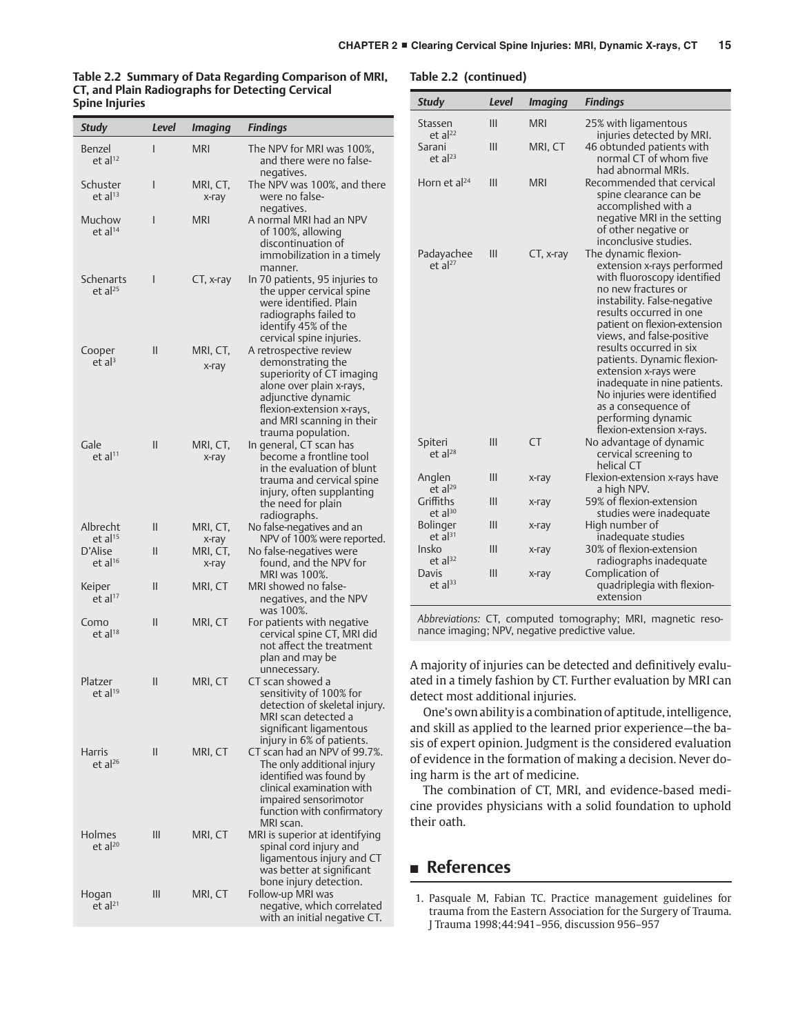#### **Table 2.2 Summary of Data Regarding Comparison of MRI, CT, and Plain Radiographs for Detecting Cervical Spine Injuries**

| <b>Study</b>                      | Level         | Imaging           | <b>Findings</b>                                                                                                                                                                                            |
|-----------------------------------|---------------|-------------------|------------------------------------------------------------------------------------------------------------------------------------------------------------------------------------------------------------|
| Benzel<br>$et$ al <sup>12</sup>   | I             | <b>MRI</b>        | The NPV for MRI was 100%,<br>and there were no false-<br>negatives.                                                                                                                                        |
| Schuster<br>et al <sup>13</sup>   | I             | MRI, CT,<br>x-ray | The NPV was 100%, and there<br>were no false-<br>negatives.                                                                                                                                                |
| Muchow<br>$et$ al <sup>14</sup>   | I             | <b>MRI</b>        | A normal MRI had an NPV<br>of 100%, allowing<br>discontinuation of<br>immobilization in a timely<br>manner.                                                                                                |
| Schenarts<br>et al <sup>25</sup>  | I             | CT, x-ray         | In 70 patients, 95 injuries to<br>the upper cervical spine<br>were identified. Plain<br>radiographs failed to<br>identify 45% of the<br>cervical spine injuries.                                           |
| Cooper<br>et al <sup>3</sup>      | $\mathsf{II}$ | MRI, CT,<br>x-ray | A retrospective review<br>demonstrating the<br>superiority of CT imaging<br>alone over plain x-rays,<br>adjunctive dynamic<br>flexion-extension x-rays,<br>and MRI scanning in their<br>trauma population. |
| Gale<br>et al <sup>11</sup>       | $\mathsf{II}$ | MRI, CT,<br>x-ray | In general, CT scan has<br>become a frontline tool<br>in the evaluation of blunt<br>trauma and cervical spine<br>injury, often supplanting<br>the need for plain<br>radiographs.                           |
| Albrecht<br>$et$ al <sup>15</sup> | $\mathsf{II}$ | MRI, CT,<br>x-ray | No false-negatives and an<br>NPV of 100% were reported.                                                                                                                                                    |
| D'Alise<br>et al <sup>16</sup>    | $\mathsf{II}$ | MRI, CT,<br>x-ray | No false-negatives were<br>found, and the NPV for<br>MRI was 100%.                                                                                                                                         |
| Keiper<br>$et$ al <sup>17</sup>   | $\mathsf{II}$ | MRI, CT           | MRI showed no false-<br>negatives, and the NPV<br>was 100%.                                                                                                                                                |
| Como<br>et al <sup>18</sup>       | $\mathsf{II}$ | MRI, CT           | For patients with negative<br>cervical spine CT, MRI did<br>not affect the treatment<br>plan and may be<br>unnecessary.                                                                                    |
| Platzer<br>et al <sup>19</sup>    | $\mathsf{II}$ | MRI, CT           | CT scan showed a<br>sensitivity of 100% for<br>detection of skeletal injury.<br>MRI scan detected a<br>significant ligamentous<br>injury in 6% of patients.                                                |
| Harris<br>et al <sup>26</sup>     | $\mathsf{II}$ | MRI, CT           | CT scan had an NPV of 99.7%.<br>The only additional injury<br>identified was found by<br>clinical examination with<br>impaired sensorimotor<br>function with confirmatory<br>MRI scan.                     |
| Holmes<br>et al <sup>20</sup>     | III           | MRI, CT           | MRI is superior at identifying<br>spinal cord injury and<br>ligamentous injury and CT<br>was better at significant<br>bone injury detection.                                                               |
| Hogan<br>et al <sup>21</sup>      | III           | MRI, CT           | Follow-up MRI was<br>negative, which correlated<br>with an initial negative CT.                                                                                                                            |

#### **Table 2.2 (continued)**

| <b>Study</b>                      | Level | <b>Imaging</b> | <b>Findings</b>                                                                                                                                                                                                                                                                                                                                                                                                                                            |
|-----------------------------------|-------|----------------|------------------------------------------------------------------------------------------------------------------------------------------------------------------------------------------------------------------------------------------------------------------------------------------------------------------------------------------------------------------------------------------------------------------------------------------------------------|
| Stassen<br>et al <sup>22</sup>    | III   | <b>MRI</b>     | 25% with ligamentous<br>injuries detected by MRI.                                                                                                                                                                                                                                                                                                                                                                                                          |
| Sarani<br>et al <sup>23</sup>     | III   | MRI, CT        | 46 obtunded patients with<br>normal CT of whom five<br>had abnormal MRIs.                                                                                                                                                                                                                                                                                                                                                                                  |
| Horn et al <sup>24</sup>          | III   | <b>MRI</b>     | Recommended that cervical<br>spine clearance can be<br>accomplished with a<br>negative MRI in the setting<br>of other negative or<br>inconclusive studies.                                                                                                                                                                                                                                                                                                 |
| Padayachee<br>et al <sup>27</sup> | III   | CT, x-ray      | The dynamic flexion-<br>extension x-rays performed<br>with fluoroscopy identified<br>no new fractures or<br>instability. False-negative<br>results occurred in one<br>patient on flexion-extension<br>views, and false-positive<br>results occurred in six<br>patients. Dynamic flexion-<br>extension x-rays were<br>inadequate in nine patients.<br>No injuries were identified<br>as a consequence of<br>performing dynamic<br>flexion-extension x-rays. |
| Spiteri<br>$et al^{28}$           | III   | <b>CT</b>      | No advantage of dynamic<br>cervical screening to<br>helical CT                                                                                                                                                                                                                                                                                                                                                                                             |
| Anglen<br>et al <sup>29</sup>     | III   | x-ray          | Flexion-extension x-rays have<br>a high NPV.                                                                                                                                                                                                                                                                                                                                                                                                               |
| Griffiths<br>et al <sup>30</sup>  | III   | x-ray          | 59% of flexion-extension<br>studies were inadequate                                                                                                                                                                                                                                                                                                                                                                                                        |
| Bolinger<br>et al <sup>31</sup>   | Ш     | x-ray          | High number of<br>inadequate studies                                                                                                                                                                                                                                                                                                                                                                                                                       |
| Insko<br>et al <sup>32</sup>      | III   | x-ray          | 30% of flexion-extension<br>radiographs inadequate                                                                                                                                                                                                                                                                                                                                                                                                         |
| Davis<br>et al <sup>33</sup>      | III   | x-ray          | Complication of<br>quadriplegia with flexion-<br>extension                                                                                                                                                                                                                                                                                                                                                                                                 |

*Abbreviations:* CT, computed tomography; MRI, magnetic resonance imaging; NPV, negative predictive value.

A majority of injuries can be detected and definitively evaluated in a timely fashion by CT. Further evaluation by MRI can detect most additional injuries.

One's own ability is a combination of aptitude, intelligence, and skill as applied to the learned prior experience—the basis of expert opinion. Judgment is the considered evaluation of evidence in the formation of making a decision. Never doing harm is the art of medicine.

The combination of CT, MRI, and evidence-based medicine provides physicians with a solid foundation to uphold their oath.

# **References** ■

 1. Pasquale M, Fabian TC. Practice management guidelines for trauma from the Eastern Association for the Surgery of Trauma. J Trauma 1998;44:941–956, discussion 956–957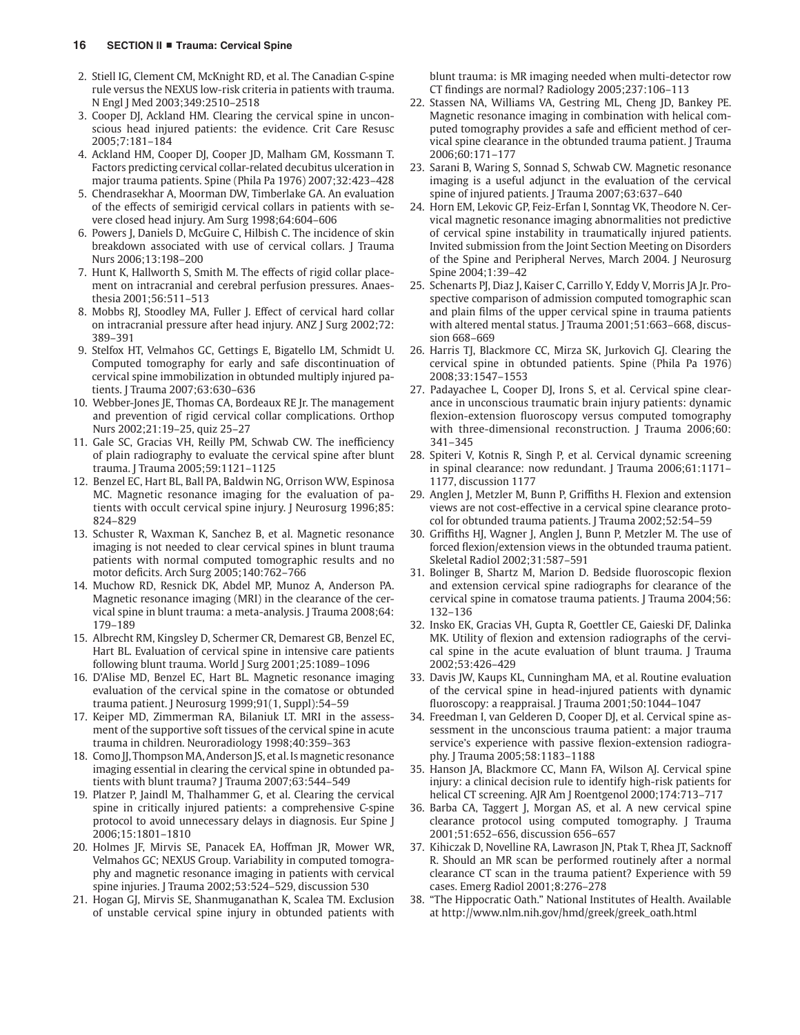- 2. Stiell IG, Clement CM, McKnight RD, et al. The Canadian C-spine rule versus the NEXUS low-risk criteria in patients with trauma. N Engl J Med 2003;349:2510–2518
- 3. Cooper DJ, Ackland HM. Clearing the cervical spine in unconscious head injured patients: the evidence. Crit Care Resusc 2005;7:181–184
- 4. Ackland HM, Cooper DJ, Cooper JD, Malham GM, Kossmann T. Factors predicting cervical collar-related decubitus ulceration in major trauma patients. Spine (Phila Pa 1976) 2007;32:423–428
- 5. Chendrasekhar A, Moorman DW, Timberlake GA. An evaluation of the effects of semirigid cervical collars in patients with severe closed head injury. Am Surg 1998;64:604–606
- 6. Powers J, Daniels D, McGuire C, Hilbish C. The incidence of skin breakdown associated with use of cervical collars. J Trauma Nurs 2006;13:198–200
- 7. Hunt K, Hallworth S, Smith M. The effects of rigid collar placement on intracranial and cerebral perfusion pressures. Anaesthesia 2001;56:511–513
- 8. Mobbs RJ, Stoodley MA, Fuller J. Effect of cervical hard collar on intracranial pressure after head injury. ANZ J Surg 2002;72: 389–391
- 9. Stelfox HT, Velmahos GC, Gettings E, Bigatello LM, Schmidt U. Computed tomography for early and safe discontinuation of cervical spine immobilization in obtunded multiply injured patients. J Trauma 2007;63:630–636
- 10. Webber-Jones JE, Thomas CA, Bordeaux RE Jr. The management and prevention of rigid cervical collar complications. Orthop Nurs 2002;21:19–25, quiz 25–27
- 11. Gale SC, Gracias VH, Reilly PM, Schwab CW. The inefficiency of plain radiography to evaluate the cervical spine after blunt trauma. J Trauma 2005;59:1121–1125
- 12. Benzel EC, Hart BL, Ball PA, Baldwin NG, Orrison WW, Espinosa MC. Magnetic resonance imaging for the evaluation of patients with occult cervical spine injury. J Neurosurg 1996;85: 824–829
- 13. Schuster R, Waxman K, Sanchez B, et al. Magnetic resonance imaging is not needed to clear cervical spines in blunt trauma patients with normal computed tomographic results and no motor deficits. Arch Surg 2005;140:762–766
- 14. Muchow RD, Resnick DK, Abdel MP, Munoz A, Anderson PA. Magnetic resonance imaging (MRI) in the clearance of the cervical spine in blunt trauma: a meta-analysis. J Trauma 2008;64: 179–189
- 15. Albrecht RM, Kingsley D, Schermer CR, Demarest GB, Benzel EC, Hart BL. Evaluation of cervical spine in intensive care patients following blunt trauma. World J Surg 2001;25:1089–1096
- 16. D'Alise MD, Benzel EC, Hart BL. Magnetic resonance imaging evaluation of the cervical spine in the comatose or obtunded trauma patient. J Neurosurg 1999;91(1, Suppl):54–59
- 17. Keiper MD, Zimmerman RA, Bilaniuk LT. MRI in the assessment of the supportive soft tissues of the cervical spine in acute trauma in children. Neuroradiology 1998;40:359–363
- 18. Como JJ, Thompson MA, Anderson JS, et al. Is magnetic resonance imaging essential in clearing the cervical spine in obtunded patients with blunt trauma? J Trauma 2007;63:544–549
- 19. Platzer P, Jaindl M, Thalhammer G, et al. Clearing the cervical spine in critically injured patients: a comprehensive C-spine protocol to avoid unnecessary delays in diagnosis. Eur Spine J 2006;15:1801–1810
- 20. Holmes JF, Mirvis SE, Panacek EA, Hoffman JR, Mower WR, Velmahos GC; NEXUS Group. Variability in computed tomography and magnetic resonance imaging in patients with cervical spine injuries. J Trauma 2002;53:524–529, discussion 530
- 21. Hogan GJ, Mirvis SE, Shanmuganathan K, Scalea TM. Exclusion of unstable cervical spine injury in obtunded patients with

blunt trauma: is MR imaging needed when multi-detector row CT findings are normal? Radiology 2005;237:106–113

- 22. Stassen NA, Williams VA, Gestring ML, Cheng JD, Bankey PE. Magnetic resonance imaging in combination with helical computed tomography provides a safe and efficient method of cervical spine clearance in the obtunded trauma patient. J Trauma 2006;60:171–177
- 23. Sarani B, Waring S, Sonnad S, Schwab CW. Magnetic resonance imaging is a useful adjunct in the evaluation of the cervical spine of injured patients. J Trauma 2007;63:637–640
- 24. Horn EM, Lekovic GP, Feiz-Erfan I, Sonntag VK, Theodore N. Cervical magnetic resonance imaging abnormalities not predictive of cervical spine instability in traumatically injured patients. Invited submission from the Joint Section Meeting on Disorders of the Spine and Peripheral Nerves, March 2004. J Neurosurg Spine 2004;1:39–42
- 25. Schenarts PJ, Diaz J, Kaiser C, Carrillo Y, Eddy V, Morris JA Jr. Prospective comparison of admission computed tomographic scan and plain films of the upper cervical spine in trauma patients with altered mental status. J Trauma 2001;51:663–668, discussion 668–669
- 26. Harris TJ, Blackmore CC, Mirza SK, Jurkovich GJ. Clearing the cervical spine in obtunded patients. Spine (Phila Pa 1976) 2008;33:1547–1553
- 27. Padayachee L, Cooper DJ, Irons S, et al. Cervical spine clearance in unconscious traumatic brain injury patients: dynamic flexion-extension fluoroscopy versus computed tomography with three-dimensional reconstruction. J Trauma 2006;60: 341–345
- 28. Spiteri V, Kotnis R, Singh P, et al. Cervical dynamic screening in spinal clearance: now redundant. J Trauma 2006;61:1171-1177, discussion 1177
- 29. Anglen J, Metzler M, Bunn P, Griffiths H. Flexion and extension views are not cost-effective in a cervical spine clearance protocol for obtunded trauma patients. J Trauma 2002;52:54–59
- 30. Griffiths HJ, Wagner J, Anglen J, Bunn P, Metzler M. The use of forced flexion/extension views in the obtunded trauma patient. Skeletal Radiol 2002;31:587–591
- 31. Bolinger B, Shartz M, Marion D. Bedside fluoroscopic flexion and extension cervical spine radiographs for clearance of the cervical spine in comatose trauma patients. J Trauma 2004;56: 132–136
- 32. Insko EK, Gracias VH, Gupta R, Goettler CE, Gaieski DF, Dalinka MK. Utility of flexion and extension radiographs of the cervical spine in the acute evaluation of blunt trauma. J Trauma 2002;53:426–429
- 33. Davis JW, Kaups KL, Cunningham MA, et al. Routine evaluation of the cervical spine in head-injured patients with dynamic fluoroscopy: a reappraisal. J Trauma 2001;50:1044-1047
- 34. Freedman I, van Gelderen D, Cooper DJ, et al. Cervical spine assessment in the unconscious trauma patient: a major trauma service's experience with passive flexion-extension radiography. J Trauma 2005;58:1183–1188
- 35. Hanson JA, Blackmore CC, Mann FA, Wilson AJ. Cervical spine injury: a clinical decision rule to identify high-risk patients for helical CT screening. AJR Am J Roentgenol 2000;174:713–717
- 36. Barba CA, Taggert J, Morgan AS, et al. A new cervical spine clearance protocol using computed tomography. J Trauma 2001;51:652–656, discussion 656–657
- 37. Kihiczak D, Novelline RA, Lawrason JN, Ptak T, Rhea JT, Sacknoff R. Should an MR scan be performed routinely after a normal clearance CT scan in the trauma patient? Experience with 59 cases. Emerg Radiol 2001;8:276–278
- 38. "The Hippocratic Oath." National Institutes of Health. Available at http://www.nlm.nih.gov/hmd/greek/greek\_oath.html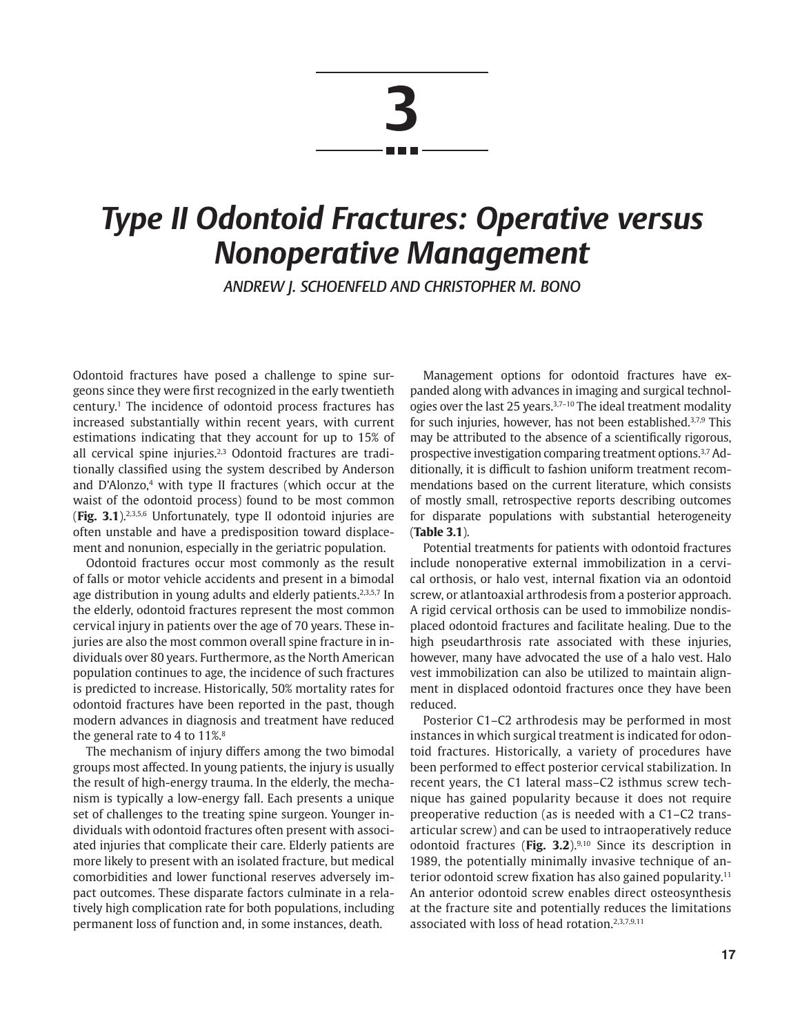# *Type II Odontoid Fractures: Operative versus Nonoperative Management*

**3**

*ANDREW J. SCHOENFELD AND CHRISTOPHER M. BONO*

Odontoid fractures have posed a challenge to spine surgeons since they were first recognized in the early twentieth century.1 The incidence of odontoid process fractures has increased substantially within recent years, with current estimations indicating that they account for up to 15% of all cervical spine injuries.<sup>2,3</sup> Odontoid fractures are traditionally classified using the system described by Anderson and D'Alonzo,<sup>4</sup> with type II fractures (which occur at the waist of the odontoid process) found to be most common (**Fig. 3.1**).2,3,5,6 Unfortunately, type II odontoid injuries are often unstable and have a predisposition toward displacement and nonunion, especially in the geriatric population.

Odontoid fractures occur most commonly as the result of falls or motor vehicle accidents and present in a bimodal age distribution in young adults and elderly patients.<sup>2,3,5,7</sup> In the elderly, odontoid fractures represent the most common cervical injury in patients over the age of 70 years. These injuries are also the most common overall spine fracture in individuals over 80 years. Furthermore, as the North American population continues to age, the incidence of such fractures is predicted to increase. Historically, 50% mortality rates for odontoid fractures have been reported in the past, though modern advances in diagnosis and treatment have reduced the general rate to 4 to 11%.<sup>8</sup>

The mechanism of injury differs among the two bimodal groups most affected. In young patients, the injury is usually the result of high-energy trauma. In the elderly, the mechanism is typically a low-energy fall. Each presents a unique set of challenges to the treating spine surgeon. Younger individuals with odontoid fractures often present with associated injuries that complicate their care. Elderly patients are more likely to present with an isolated fracture, but medical comorbidities and lower functional reserves adversely impact outcomes. These disparate factors culminate in a relatively high complication rate for both populations, including permanent loss of function and, in some instances, death.

Management options for odontoid fractures have expanded along with advances in imaging and surgical technologies over the last 25 years.<sup>3,7-10</sup> The ideal treatment modality for such injuries, however, has not been established.<sup>3,7,9</sup> This may be attributed to the absence of a scientifically rigorous, prospective investigation comparing treatment options.<sup>3,7</sup> Additionally, it is difficult to fashion uniform treatment recommendations based on the current literature, which consists of mostly small, retrospective reports describing outcomes for disparate populations with substantial heterogeneity (**Table 3.1**).

Potential treatments for patients with odontoid fractures include nonoperative external immobilization in a cervical orthosis, or halo vest, internal fixation via an odontoid screw, or atlantoaxial arthrodesis from a posterior approach. A rigid cervical orthosis can be used to immobilize nondisplaced odontoid fractures and facilitate healing. Due to the high pseudarthrosis rate associated with these injuries, however, many have advocated the use of a halo vest. Halo vest immobilization can also be utilized to maintain alignment in displaced odontoid fractures once they have been reduced.

Posterior C1–C2 arthrodesis may be performed in most instances in which surgical treatment is indicated for odontoid fractures. Historically, a variety of procedures have been performed to effect posterior cervical stabilization. In recent years, the C1 lateral mass–C2 isthmus screw technique has gained popularity because it does not require preoperative reduction (as is needed with a C1–C2 transarticular screw) and can be used to intraoperatively reduce odontoid fractures (**Fig. 3.2**).9,10 Since its description in 1989, the potentially minimally invasive technique of anterior odontoid screw fixation has also gained popularity.<sup>11</sup> An anterior odontoid screw enables direct osteosynthesis at the fracture site and potentially reduces the limitations associated with loss of head rotation.<sup>2,3,7,9,11</sup>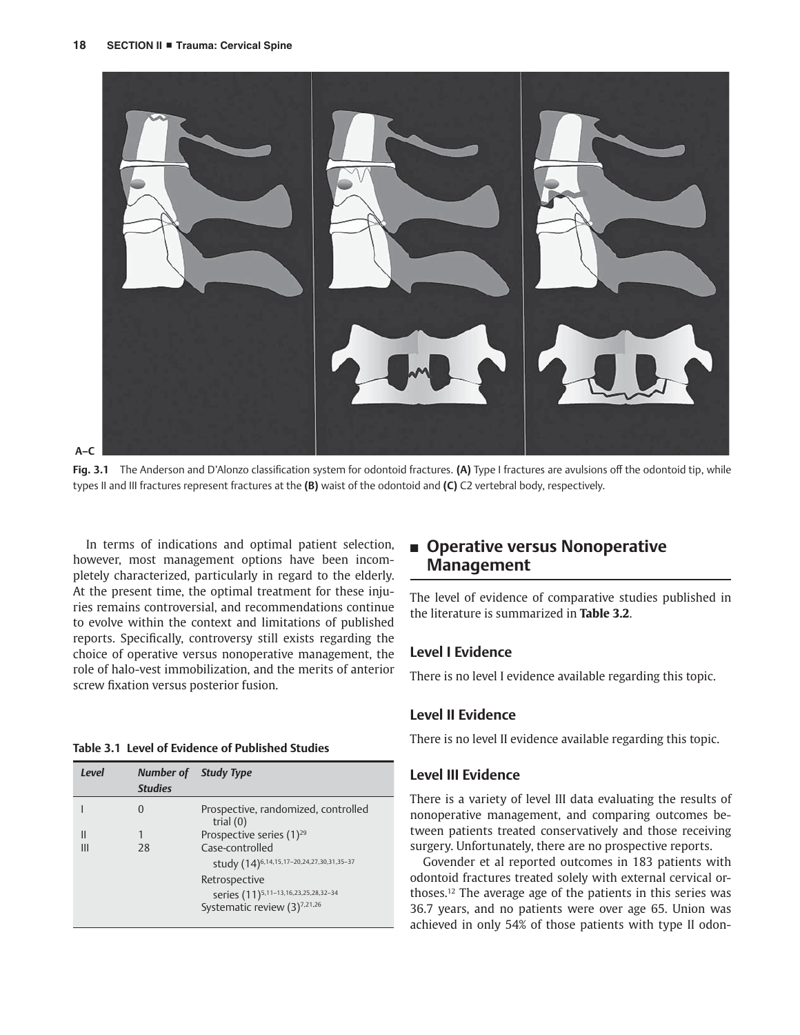

**A–C**

**Fig. 3.1** The Anderson and D'Alonzo classification system for odontoid fractures. **(A)** Type I fractures are avulsions off the odontoid tip, while types II and III fractures represent fractures at the **(B)** waist of the odontoid and **(C)** C2 vertebral body, respectively.

In terms of indications and optimal patient selection, however, most management options have been incompletely characterized, particularly in regard to the elderly. At the present time, the optimal treatment for these injuries remains controversial, and recommendations continue to evolve within the context and limitations of published reports. Specifically, controversy still exists regarding the choice of operative versus nonoperative management, the role of halo-vest immobilization, and the merits of anterior screw fixation versus posterior fusion.

#### **Table 3.1 Level of Evidence of Published Studies**

| Level | <b>Studies</b> | <b>Number of</b> Study Type                           |
|-------|----------------|-------------------------------------------------------|
|       | O              | Prospective, randomized, controlled<br>trial $(0)$    |
| Ш     |                | Prospective series $(1)^{29}$                         |
| Ш     | 28             | Case-controlled                                       |
|       |                | study (14) <sup>6,14,15,17-20,24,27,30,31,35-37</sup> |
|       |                | Retrospective                                         |
|       |                | series (11) <sup>5,11-13,16,23,25,28,32-34</sup>      |
|       |                | Systematic review $(3)^{7,21,26}$                     |
|       |                |                                                       |

# ■ Operative versus Nonoperative **Management**

The level of evidence of comparative studies published in the literature is summarized in **Table 3.2**.

# **Level I Evidence**

There is no level I evidence available regarding this topic.

#### **Level II Evidence**

There is no level II evidence available regarding this topic.

# **Level III Evidence**

There is a variety of level III data evaluating the results of nonoperative management, and comparing outcomes between patients treated conservatively and those receiving surgery. Unfortunately, there are no prospective reports.

Govender et al reported outcomes in 183 patients with odontoid fractures treated solely with external cervical orthoses.12 The average age of the patients in this series was 36.7 years, and no patients were over age 65. Union was achieved in only 54% of those patients with type II odon-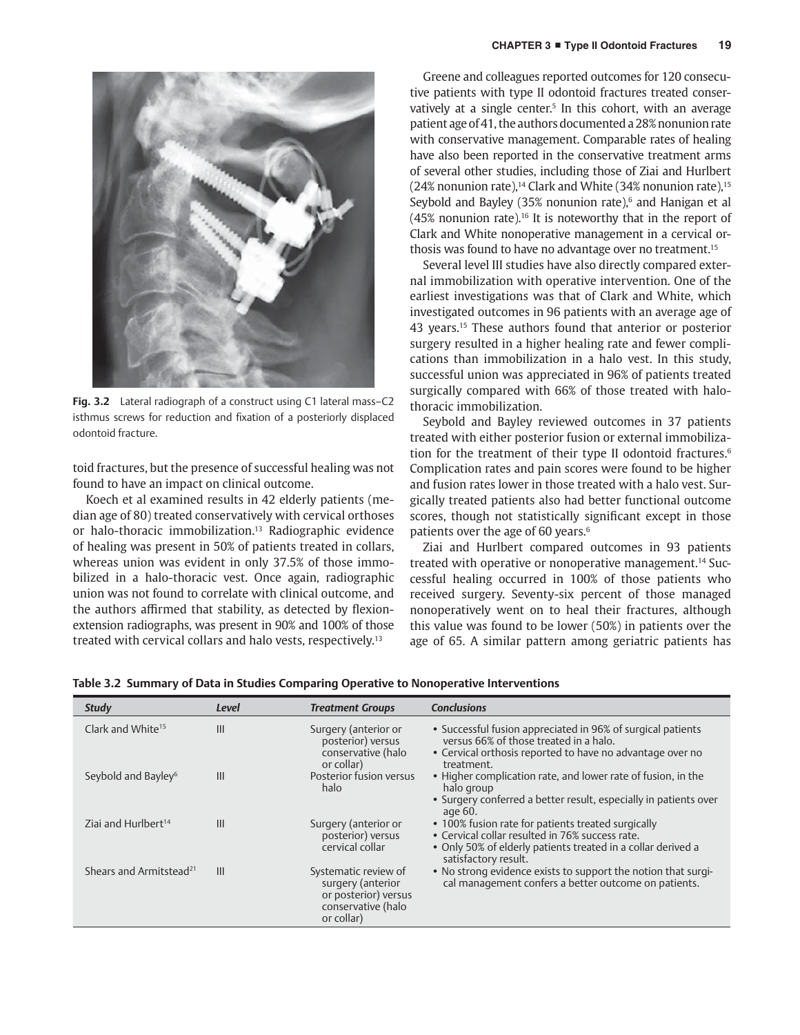

**Fig. 3.2** Lateral radiograph of a construct using C1 lateral mass–C2 isthmus screws for reduction and fixation of a posteriorly displaced odontoid fracture.

toid fractures, but the presence of successful healing was not found to have an impact on clinical outcome.

Koech et al examined results in 42 elderly patients (median age of 80) treated conservatively with cervical orthoses or halo-thoracic immobilization.<sup>13</sup> Radiographic evidence of healing was present in 50% of patients treated in collars, whereas union was evident in only 37.5% of those immobilized in a halo-thoracic vest. Once again, radiographic union was not found to correlate with clinical outcome, and the authors affirmed that stability, as detected by flexionextension radiographs, was present in 90% and 100% of those treated with cervical collars and halo vests, respectively.13

Greene and colleagues reported outcomes for 120 consecutive patients with type II odontoid fractures treated conservatively at a single center.<sup>5</sup> In this cohort, with an average patient age of 41, the authors documented a 28% nonunion rate with conservative management. Comparable rates of healing have also been reported in the conservative treatment arms of several other studies, including those of Ziai and Hurlbert (24% nonunion rate),<sup>14</sup> Clark and White (34% nonunion rate),<sup>15</sup> Seybold and Bayley (35% nonunion rate),<sup>6</sup> and Hanigan et al (45% nonunion rate).16 It is noteworthy that in the report of Clark and White nonoperative management in a cervical orthosis was found to have no advantage over no treatment.<sup>15</sup>

Several level III studies have also directly compared external immobilization with operative intervention. One of the earliest investigations was that of Clark and White, which investigated outcomes in 96 patients with an average age of 43 years.15 These authors found that anterior or posterior surgery resulted in a higher healing rate and fewer complications than immobilization in a halo vest. In this study, successful union was appreciated in 96% of patients treated surgically compared with 66% of those treated with halothoracic immobilization.

Seybold and Bayley reviewed outcomes in 37 patients treated with either posterior fusion or external immobilization for the treatment of their type II odontoid fractures.<sup>6</sup> Complication rates and pain scores were found to be higher and fusion rates lower in those treated with a halo vest. Surgically treated patients also had better functional outcome scores, though not statistically significant except in those patients over the age of 60 years.<sup>6</sup>

Ziai and Hurlbert compared outcomes in 93 patients treated with operative or nonoperative management.<sup>14</sup> Successful healing occurred in 100% of those patients who received surgery. Seventy-six percent of those managed nonoperatively went on to heal their fractures, although this value was found to be lower (50%) in patients over the age of 65. A similar pattern among geriatric patients has

| <b>Study</b>                        | Level | <b>Treatment Groups</b>                                                                               | <b>Conclusions</b>                                                                                                                                                                            |
|-------------------------------------|-------|-------------------------------------------------------------------------------------------------------|-----------------------------------------------------------------------------------------------------------------------------------------------------------------------------------------------|
| Clark and White <sup>15</sup>       | III   | Surgery (anterior or<br>posterior) versus<br>conservative (halo<br>or collar)                         | • Successful fusion appreciated in 96% of surgical patients<br>versus 66% of those treated in a halo.<br>• Cervical orthosis reported to have no advantage over no<br>treatment.              |
| Seybold and Bayley <sup>6</sup>     | III   | Posterior fusion versus<br>halo.                                                                      | • Higher complication rate, and lower rate of fusion, in the<br>halo group<br>• Surgery conferred a better result, especially in patients over<br>age 60.                                     |
| $Z$ iai and Hurlbert <sup>14</sup>  | III   | Surgery (anterior or<br>posterior) versus<br>cervical collar                                          | • 100% fusion rate for patients treated surgically<br>• Cervical collar resulted in 76% success rate.<br>• Only 50% of elderly patients treated in a collar derived a<br>satisfactory result. |
| Shears and Armitstead <sup>21</sup> | III   | Systematic review of<br>surgery (anterior<br>or posterior) versus<br>conservative (halo<br>or collar) | • No strong evidence exists to support the notion that surgi-<br>cal management confers a better outcome on patients.                                                                         |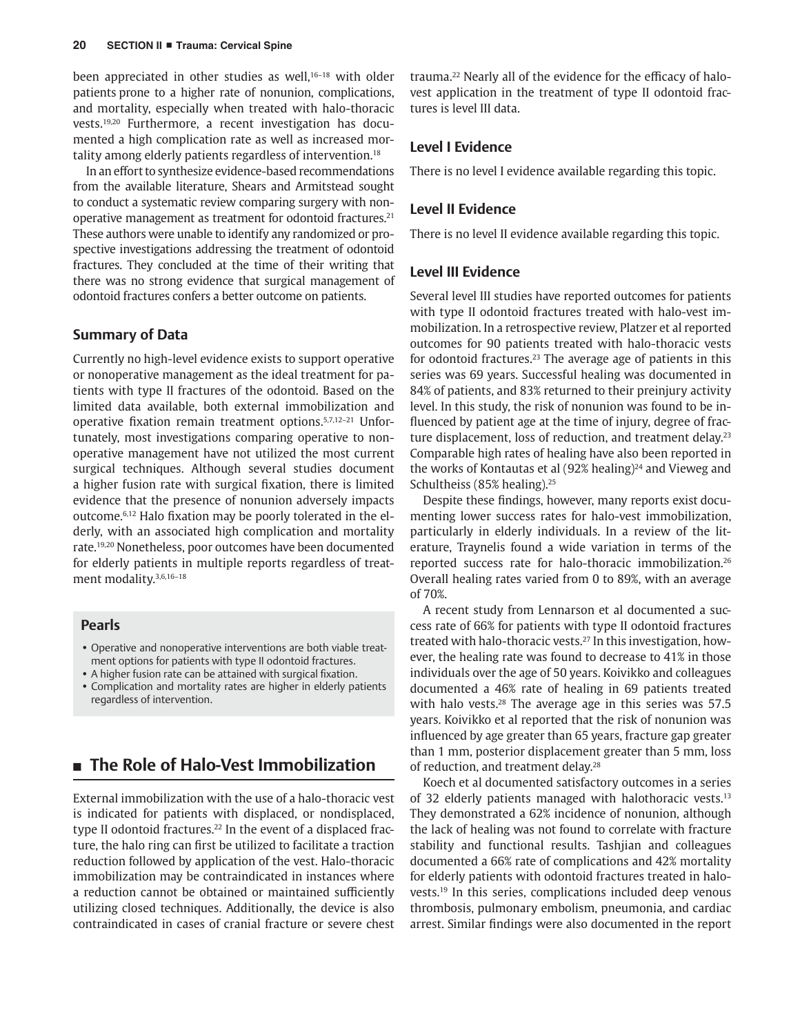been appreciated in other studies as well,<sup>16-18</sup> with older patients prone to a higher rate of nonunion, complications, and mortality, especially when treated with halo-thoracic vests.19,20 Furthermore, a recent investigation has documented a high complication rate as well as increased mortality among elderly patients regardless of intervention.18

In an effort to synthesize evidence-based recommendations from the available literature, Shears and Armitstead sought to conduct a systematic review comparing surgery with nonoperative management as treatment for odontoid fractures.<sup>21</sup> These authors were unable to identify any randomized or prospective investigations addressing the treatment of odontoid fractures. They concluded at the time of their writing that there was no strong evidence that surgical management of odontoid fractures confers a better outcome on patients.

# **Summary of Data**

Currently no high-level evidence exists to support operative or nonoperative management as the ideal treatment for patients with type II fractures of the odontoid. Based on the limited data available, both external immobilization and operative fixation remain treatment options.5,7,12–21 Unfortunately, most investigations comparing operative to nonoperative management have not utilized the most current surgical techniques. Although several studies document a higher fusion rate with surgical fixation, there is limited evidence that the presence of nonunion adversely impacts outcome.6,12 Halo fixation may be poorly tolerated in the elderly, with an associated high complication and mortality rate.19,20 Nonetheless, poor outcomes have been documented for elderly patients in multiple reports regardless of treatment modality.<sup>3,6,16-18</sup>

#### **Pearls**

- Operative and nonoperative interventions are both viable treatment options for patients with type II odontoid fractures.
- A higher fusion rate can be attained with surgical fixation.
- Complication and mortality rates are higher in elderly patients regardless of intervention.

# **The Role of Halo-Vest Immobilization** ■

External immobilization with the use of a halo-thoracic vest is indicated for patients with displaced, or nondisplaced, type II odontoid fractures.<sup>22</sup> In the event of a displaced fracture, the halo ring can first be utilized to facilitate a traction reduction followed by application of the vest. Halo-thoracic immobilization may be contraindicated in instances where a reduction cannot be obtained or maintained sufficiently utilizing closed techniques. Additionally, the device is also contraindicated in cases of cranial fracture or severe chest

trauma.22 Nearly all of the evidence for the efficacy of halovest application in the treatment of type II odontoid fractures is level III data.

# **Level I Evidence**

There is no level I evidence available regarding this topic.

# **Level II Evidence**

There is no level II evidence available regarding this topic.

# **Level III Evidence**

Several level III studies have reported outcomes for patients with type II odontoid fractures treated with halo-vest immobilization. In a retrospective review, Platzer et al reported outcomes for 90 patients treated with halo-thoracic vests for odontoid fractures.<sup>23</sup> The average age of patients in this series was 69 years. Successful healing was documented in 84% of patients, and 83% returned to their preinjury activity level. In this study, the risk of nonunion was found to be influenced by patient age at the time of injury, degree of fracture displacement, loss of reduction, and treatment delay.<sup>23</sup> Comparable high rates of healing have also been reported in the works of Kontautas et al (92% healing)<sup>24</sup> and Vieweg and Schultheiss (85% healing).25

Despite these findings, however, many reports exist documenting lower success rates for halo-vest immobilization, particularly in elderly individuals. In a review of the literature, Traynelis found a wide variation in terms of the reported success rate for halo-thoracic immobilization.26 Overall healing rates varied from 0 to 89%, with an average of 70%.

A recent study from Lennarson et al documented a success rate of 66% for patients with type II odontoid fractures treated with halo-thoracic vests.27 In this investigation, however, the healing rate was found to decrease to 41% in those individuals over the age of 50 years. Koivikko and colleagues documented a 46% rate of healing in 69 patients treated with halo vests.<sup>28</sup> The average age in this series was 57.5 years. Koivikko et al reported that the risk of nonunion was influenced by age greater than 65 years, fracture gap greater than 1 mm, posterior displacement greater than 5 mm, loss of reduction, and treatment delay.<sup>28</sup>

Koech et al documented satisfactory outcomes in a series of 32 elderly patients managed with halothoracic vests.<sup>13</sup> They demonstrated a 62% incidence of nonunion, although the lack of healing was not found to correlate with fracture stability and functional results. Tashjian and colleagues documented a 66% rate of complications and 42% mortality for elderly patients with odontoid fractures treated in halovests.19 In this series, complications included deep venous thrombosis, pulmonary embolism, pneumonia, and cardiac arrest. Similar findings were also documented in the report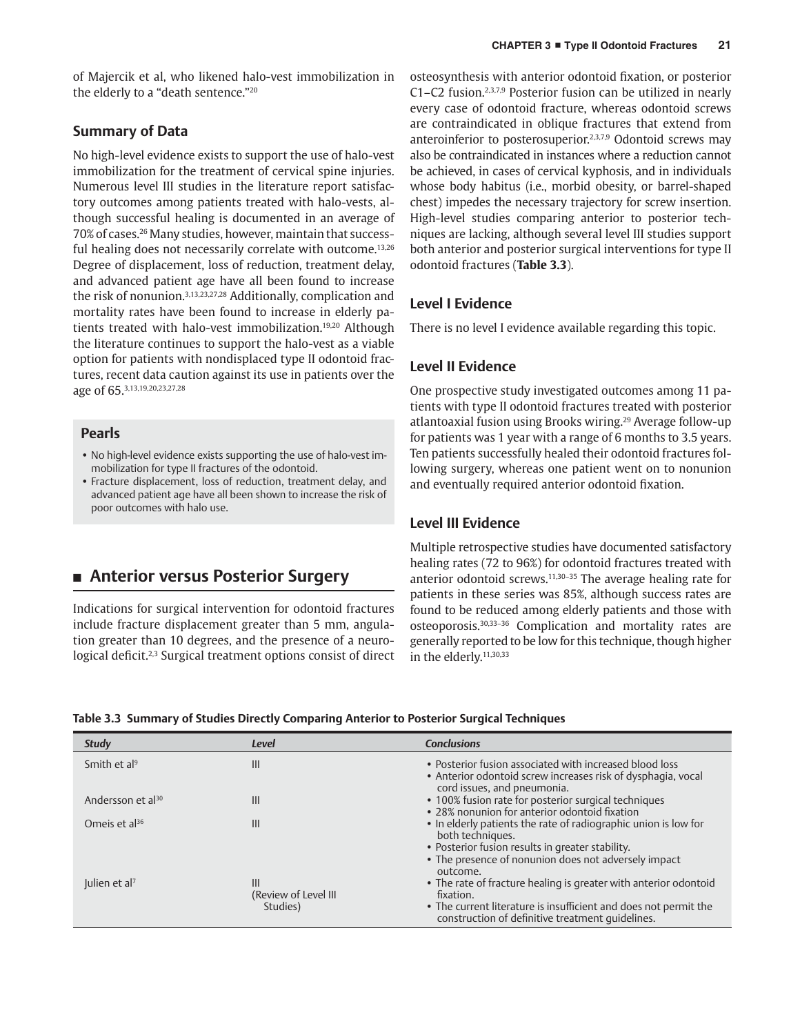of Majercik et al, who likened halo-vest immobilization in the elderly to a "death sentence."20

#### **Summary of Data**

No high-level evidence exists to support the use of halo-vest immobilization for the treatment of cervical spine injuries. Numerous level III studies in the literature report satisfactory outcomes among patients treated with halo-vests, although successful healing is documented in an average of 70% of cases.26 Many studies, however, maintain that successful healing does not necessarily correlate with outcome.<sup>13,26</sup> Degree of displacement, loss of reduction, treatment delay, and advanced patient age have all been found to increase the risk of nonunion.3,13,23,27,28 Additionally, complication and mortality rates have been found to increase in elderly patients treated with halo-vest immobilization.19,20 Although the literature continues to support the halo-vest as a viable option for patients with nondisplaced type II odontoid fractures, recent data caution against its use in patients over the age of 65.3,13,19,20,23,27,28

#### **Pearls**

- No high-level evidence exists supporting the use of halo-vest immobilization for type II fractures of the odontoid.
- Fracture displacement, loss of reduction, treatment delay, and advanced patient age have all been shown to increase the risk of poor outcomes with halo use.

# **Anterior versus Posterior Surgery** ■

Indications for surgical intervention for odontoid fractures include fracture displacement greater than 5 mm, angulation greater than 10 degrees, and the presence of a neurological deficit.<sup>2,3</sup> Surgical treatment options consist of direct osteosynthesis with anterior odontoid fixation, or posterior C1–C2 fusion.2,3,7,9 Posterior fusion can be utilized in nearly every case of odontoid fracture, whereas odontoid screws are contraindicated in oblique fractures that extend from anteroinferior to posterosuperior.<sup>2,3,7,9</sup> Odontoid screws may also be contraindicated in instances where a reduction cannot be achieved, in cases of cervical kyphosis, and in individuals whose body habitus (i.e., morbid obesity, or barrel-shaped chest) impedes the necessary trajectory for screw insertion. High-level studies comparing anterior to posterior techniques are lacking, although several level III studies support both anterior and posterior surgical interventions for type II odontoid fractures (**Table 3.3**).

#### **Level I Evidence**

There is no level I evidence available regarding this topic.

# **Level II Evidence**

One prospective study investigated outcomes among 11 patients with type II odontoid fractures treated with posterior atlantoaxial fusion using Brooks wiring.29 Average follow-up for patients was 1 year with a range of 6 months to 3.5 years. Ten patients successfully healed their odontoid fractures following surgery, whereas one patient went on to nonunion and eventually required anterior odontoid fixation.

#### **Level III Evidence**

Multiple retrospective studies have documented satisfactory healing rates (72 to 96%) for odontoid fractures treated with anterior odontoid screws. $11,30-35$  The average healing rate for patients in these series was 85%, although success rates are found to be reduced among elderly patients and those with osteoporosis.30,33–36 Complication and mortality rates are generally reported to be low for this technique, though higher in the elderly.<sup>11,30,33</sup>

**Table 3.3 Summary of Studies Directly Comparing Anterior to Posterior Surgical Techniques**

| <b>Study</b>                  | Level                     | <b>Conclusions</b>                                                                                                                                     |
|-------------------------------|---------------------------|--------------------------------------------------------------------------------------------------------------------------------------------------------|
| Smith et al <sup>9</sup>      | III                       | • Posterior fusion associated with increased blood loss<br>• Anterior odontoid screw increases risk of dysphagia, vocal<br>cord issues, and pneumonia. |
| Andersson et al <sup>30</sup> | III                       | • 100% fusion rate for posterior surgical techniques<br>• 28% nonunion for anterior odontoid fixation                                                  |
| Omeis et al <sup>36</sup>     | III                       | • In elderly patients the rate of radiographic union is low for<br>both techniques.<br>• Posterior fusion results in greater stability.                |
|                               |                           | • The presence of nonunion does not adversely impact<br>outcome.                                                                                       |
| Julien et al <sup>7</sup>     | Ш<br>(Review of Level III | • The rate of fracture healing is greater with anterior odontoid<br>fixation.                                                                          |
|                               | Studies)                  | • The current literature is insufficient and does not permit the<br>construction of definitive treatment quidelines.                                   |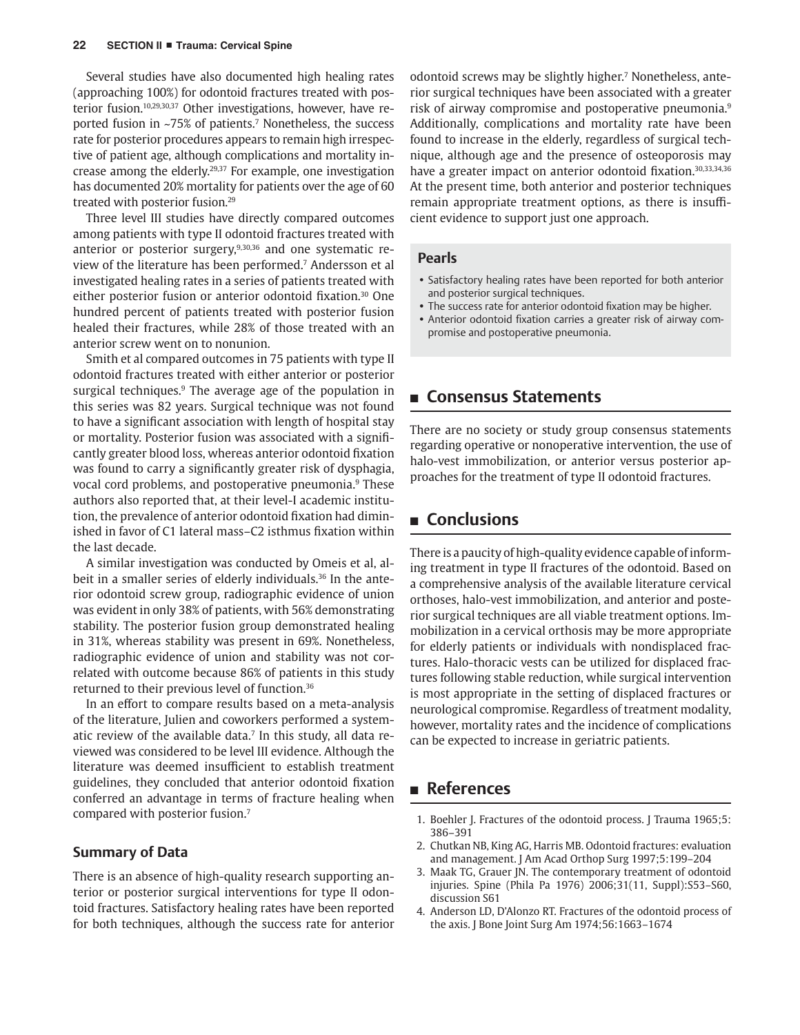Several studies have also documented high healing rates (approaching 100%) for odontoid fractures treated with posterior fusion.10,29,30,37 Other investigations, however, have reported fusion in ~75% of patients.7 Nonetheless, the success rate for posterior procedures appears to remain high irrespective of patient age, although complications and mortality increase among the elderly.29,37 For example, one investigation has documented 20% mortality for patients over the age of 60 treated with posterior fusion.29

Three level III studies have directly compared outcomes among patients with type II odontoid fractures treated with anterior or posterior surgery,9,30,36 and one systematic review of the literature has been performed.7 Andersson et al investigated healing rates in a series of patients treated with either posterior fusion or anterior odontoid fixation.<sup>30</sup> One hundred percent of patients treated with posterior fusion healed their fractures, while 28% of those treated with an anterior screw went on to nonunion.

Smith et al compared outcomes in 75 patients with type II odontoid fractures treated with either anterior or posterior surgical techniques.<sup>9</sup> The average age of the population in this series was 82 years. Surgical technique was not found to have a significant association with length of hospital stay or mortality. Posterior fusion was associated with a significantly greater blood loss, whereas anterior odontoid fixation was found to carry a significantly greater risk of dysphagia, vocal cord problems, and postoperative pneumonia.9 These authors also reported that, at their level-I academic institution, the prevalence of anterior odontoid fixation had diminished in favor of C1 lateral mass–C2 isthmus fixation within the last decade.

A similar investigation was conducted by Omeis et al, albeit in a smaller series of elderly individuals.<sup>36</sup> In the anterior odontoid screw group, radiographic evidence of union was evident in only 38% of patients, with 56% demonstrating stability. The posterior fusion group demonstrated healing in 31%, whereas stability was present in 69%. Nonetheless, radiographic evidence of union and stability was not correlated with outcome because 86% of patients in this study returned to their previous level of function.36

In an effort to compare results based on a meta-analysis of the literature, Julien and coworkers performed a systematic review of the available data.7 In this study, all data reviewed was considered to be level III evidence. Although the literature was deemed insufficient to establish treatment guidelines, they concluded that anterior odontoid fixation conferred an advantage in terms of fracture healing when compared with posterior fusion.7

#### **Summary of Data**

There is an absence of high-quality research supporting anterior or posterior surgical interventions for type II odontoid fractures. Satisfactory healing rates have been reported for both techniques, although the success rate for anterior odontoid screws may be slightly higher.7 Nonetheless, anterior surgical techniques have been associated with a greater risk of airway compromise and postoperative pneumonia.<sup>9</sup> Additionally, complications and mortality rate have been found to increase in the elderly, regardless of surgical technique, although age and the presence of osteoporosis may have a greater impact on anterior odontoid fixation.<sup>30,33,34,36</sup> At the present time, both anterior and posterior techniques remain appropriate treatment options, as there is insufficient evidence to support just one approach.

#### **Pearls**

- Satisfactory healing rates have been reported for both anterior and posterior surgical techniques.
- The success rate for anterior odontoid fixation may be higher.
- Anterior odontoid fixation carries a greater risk of airway compromise and postoperative pneumonia.

# ■ Consensus Statements

There are no society or study group consensus statements regarding operative or nonoperative intervention, the use of halo-vest immobilization, or anterior versus posterior approaches for the treatment of type II odontoid fractures.

# **Conclusions** ■

There is a paucity of high-quality evidence capable of informing treatment in type II fractures of the odontoid. Based on a comprehensive analysis of the available literature cervical orthoses, halo-vest immobilization, and anterior and posterior surgical techniques are all viable treatment options. Immobilization in a cervical orthosis may be more appropriate for elderly patients or individuals with nondisplaced fractures. Halo-thoracic vests can be utilized for displaced fractures following stable reduction, while surgical intervention is most appropriate in the setting of displaced fractures or neurological compromise. Regardless of treatment modality, however, mortality rates and the incidence of complications can be expected to increase in geriatric patients.

# **References** ■

- 1. Boehler J. Fractures of the odontoid process. J Trauma 1965;5: 386–391
- 2. Chutkan NB, King AG, Harris MB. Odontoid fractures: evaluation and management. J Am Acad Orthop Surg 1997;5:199–204
- 3. Maak TG, Grauer JN. The contemporary treatment of odontoid injuries. Spine (Phila Pa 1976) 2006;31(11, Suppl):S53–S60, discussion S61
- 4. Anderson LD, D'Alonzo RT. Fractures of the odontoid process of the axis. J Bone Joint Surg Am 1974;56:1663–1674